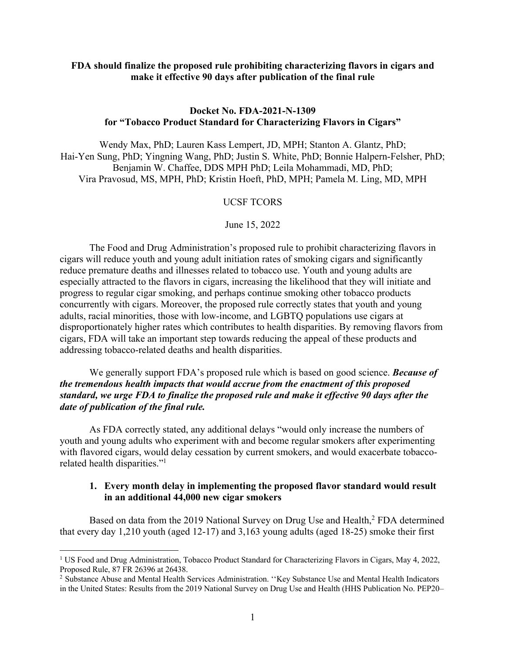### **FDA should finalize the proposed rule prohibiting characterizing flavors in cigars and make it effective 90 days after publication of the final rule**

## **Docket No. FDA-2021-N-1309 for "Tobacco Product Standard for Characterizing Flavors in Cigars"**

Wendy Max, PhD; Lauren Kass Lempert, JD, MPH; Stanton A. Glantz, PhD; Hai-Yen Sung, PhD; Yingning Wang, PhD; Justin S. White, PhD; Bonnie Halpern-Felsher, PhD; Benjamin W. Chaffee, DDS MPH PhD; Leila Mohammadi, MD, PhD; Vira Pravosud, MS, MPH, PhD; Kristin Hoeft, PhD, MPH; Pamela M. Ling, MD, MPH

### UCSF TCORS

### June 15, 2022

The Food and Drug Administration's proposed rule to prohibit characterizing flavors in cigars will reduce youth and young adult initiation rates of smoking cigars and significantly reduce premature deaths and illnesses related to tobacco use. Youth and young adults are especially attracted to the flavors in cigars, increasing the likelihood that they will initiate and progress to regular cigar smoking, and perhaps continue smoking other tobacco products concurrently with cigars. Moreover, the proposed rule correctly states that youth and young adults, racial minorities, those with low-income, and LGBTQ populations use cigars at disproportionately higher rates which contributes to health disparities. By removing flavors from cigars, FDA will take an important step towards reducing the appeal of these products and addressing tobacco-related deaths and health disparities.

We generally support FDA's proposed rule which is based on good science. *Because of the tremendous health impacts that would accrue from the enactment of this proposed standard, we urge FDA to finalize the proposed rule and make it effective 90 days after the date of publication of the final rule.*

As FDA correctly stated, any additional delays "would only increase the numbers of youth and young adults who experiment with and become regular smokers after experimenting with flavored cigars, would delay cessation by current smokers, and would exacerbate tobaccorelated health disparities."1

### **1. Every month delay in implementing the proposed flavor standard would result in an additional 44,000 new cigar smokers**

Based on data from the 2019 National Survey on Drug Use and Health,<sup>2</sup> FDA determined that every day 1,210 youth (aged 12-17) and 3,163 young adults (aged 18-25) smoke their first

<sup>1</sup> US Food and Drug Administration, Tobacco Product Standard for Characterizing Flavors in Cigars, May 4, 2022, Proposed Rule, 87 FR 26396 at 26438.

<sup>&</sup>lt;sup>2</sup> Substance Abuse and Mental Health Services Administration. "Key Substance Use and Mental Health Indicators in the United States: Results from the 2019 National Survey on Drug Use and Health (HHS Publication No. PEP20–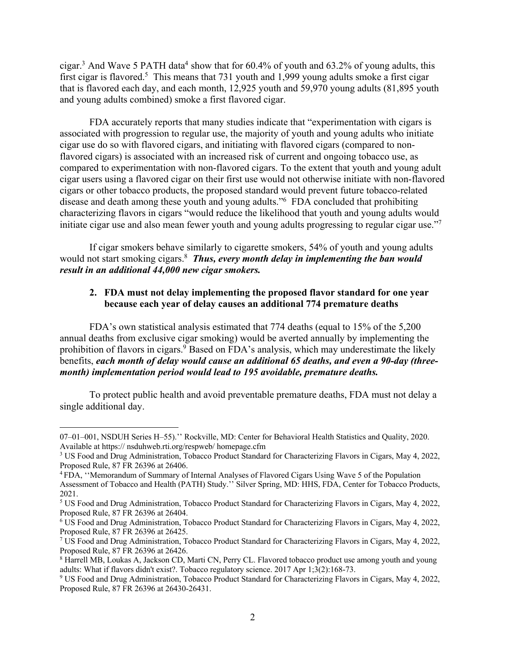cigar.<sup>3</sup> And Wave 5 PATH data<sup>4</sup> show that for  $60.4\%$  of youth and  $63.2\%$  of young adults, this first cigar is flavored.<sup>5</sup> This means that 731 youth and 1,999 young adults smoke a first cigar that is flavored each day, and each month, 12,925 youth and 59,970 young adults (81,895 youth and young adults combined) smoke a first flavored cigar.

FDA accurately reports that many studies indicate that "experimentation with cigars is associated with progression to regular use, the majority of youth and young adults who initiate cigar use do so with flavored cigars, and initiating with flavored cigars (compared to nonflavored cigars) is associated with an increased risk of current and ongoing tobacco use, as compared to experimentation with non-flavored cigars. To the extent that youth and young adult cigar users using a flavored cigar on their first use would not otherwise initiate with non-flavored cigars or other tobacco products, the proposed standard would prevent future tobacco-related disease and death among these youth and young adults."6 FDA concluded that prohibiting characterizing flavors in cigars "would reduce the likelihood that youth and young adults would initiate cigar use and also mean fewer youth and young adults progressing to regular cigar use."7

If cigar smokers behave similarly to cigarette smokers, 54% of youth and young adults would not start smoking cigars.<sup>8</sup> *Thus, every month delay in implementing the ban would result in an additional 44,000 new cigar smokers.*

## **2. FDA must not delay implementing the proposed flavor standard for one year because each year of delay causes an additional 774 premature deaths**

FDA's own statistical analysis estimated that 774 deaths (equal to 15% of the 5,200 annual deaths from exclusive cigar smoking) would be averted annually by implementing the prohibition of flavors in cigars.<sup>9</sup> Based on FDA's analysis, which may underestimate the likely benefits, *each month of delay would cause an additional 65 deaths, and even a 90-day (threemonth) implementation period would lead to 195 avoidable, premature deaths.*

To protect public health and avoid preventable premature deaths, FDA must not delay a single additional day.

<sup>07–01–001,</sup> NSDUH Series H–55).'' Rockville, MD: Center for Behavioral Health Statistics and Quality, 2020. Available at https:// nsduhweb.rti.org/respweb/ homepage.cfm

<sup>3</sup> US Food and Drug Administration, Tobacco Product Standard for Characterizing Flavors in Cigars, May 4, 2022, Proposed Rule, 87 FR 26396 at 26406.

<sup>4</sup> FDA, ''Memorandum of Summary of Internal Analyses of Flavored Cigars Using Wave 5 of the Population Assessment of Tobacco and Health (PATH) Study.'' Silver Spring, MD: HHS, FDA, Center for Tobacco Products, 2021.

<sup>5</sup> US Food and Drug Administration, Tobacco Product Standard for Characterizing Flavors in Cigars, May 4, 2022, Proposed Rule, 87 FR 26396 at 26404.

<sup>6</sup> US Food and Drug Administration, Tobacco Product Standard for Characterizing Flavors in Cigars, May 4, 2022, Proposed Rule, 87 FR 26396 at 26425.

<sup>7</sup> US Food and Drug Administration, Tobacco Product Standard for Characterizing Flavors in Cigars, May 4, 2022, Proposed Rule, 87 FR 26396 at 26426.

<sup>8</sup> Harrell MB, Loukas A, Jackson CD, Marti CN, Perry CL. Flavored tobacco product use among youth and young adults: What if flavors didn't exist?. Tobacco regulatory science. 2017 Apr 1;3(2):168-73.

<sup>9</sup> US Food and Drug Administration, Tobacco Product Standard for Characterizing Flavors in Cigars, May 4, 2022, Proposed Rule, 87 FR 26396 at 26430-26431.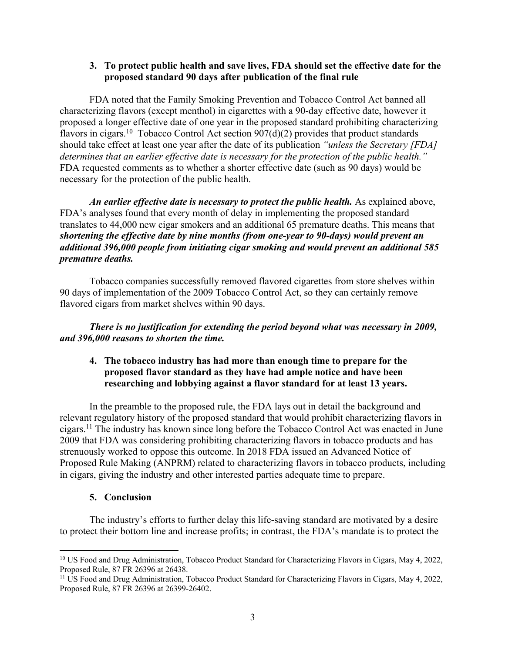## **3. To protect public health and save lives, FDA should set the effective date for the proposed standard 90 days after publication of the final rule**

FDA noted that the Family Smoking Prevention and Tobacco Control Act banned all characterizing flavors (except menthol) in cigarettes with a 90-day effective date, however it proposed a longer effective date of one year in the proposed standard prohibiting characterizing flavors in cigars.<sup>10</sup> Tobacco Control Act section  $907(d)(2)$  provides that product standards should take effect at least one year after the date of its publication *"unless the Secretary [FDA] determines that an earlier effective date is necessary for the protection of the public health."* FDA requested comments as to whether a shorter effective date (such as 90 days) would be necessary for the protection of the public health.

*An earlier effective date is necessary to protect the public health.* As explained above, FDA's analyses found that every month of delay in implementing the proposed standard translates to 44,000 new cigar smokers and an additional 65 premature deaths. This means that *shortening the effective date by nine months (from one-year to 90-days) would prevent an additional 396,000 people from initiating cigar smoking and would prevent an additional 585 premature deaths.*

Tobacco companies successfully removed flavored cigarettes from store shelves within 90 days of implementation of the 2009 Tobacco Control Act, so they can certainly remove flavored cigars from market shelves within 90 days.

*There is no justification for extending the period beyond what was necessary in 2009, and 396,000 reasons to shorten the time.*

# **4. The tobacco industry has had more than enough time to prepare for the proposed flavor standard as they have had ample notice and have been researching and lobbying against a flavor standard for at least 13 years.**

In the preamble to the proposed rule, the FDA lays out in detail the background and relevant regulatory history of the proposed standard that would prohibit characterizing flavors in cigars.<sup>11</sup> The industry has known since long before the Tobacco Control Act was enacted in June 2009 that FDA was considering prohibiting characterizing flavors in tobacco products and has strenuously worked to oppose this outcome. In 2018 FDA issued an Advanced Notice of Proposed Rule Making (ANPRM) related to characterizing flavors in tobacco products, including in cigars, giving the industry and other interested parties adequate time to prepare.

# **5. Conclusion**

The industry's efforts to further delay this life-saving standard are motivated by a desire to protect their bottom line and increase profits; in contrast, the FDA's mandate is to protect the

<sup>&</sup>lt;sup>10</sup> US Food and Drug Administration, Tobacco Product Standard for Characterizing Flavors in Cigars, May 4, 2022, Proposed Rule, 87 FR 26396 at 26438.

<sup>&</sup>lt;sup>11</sup> US Food and Drug Administration, Tobacco Product Standard for Characterizing Flavors in Cigars, May 4, 2022, Proposed Rule, 87 FR 26396 at 26399-26402.